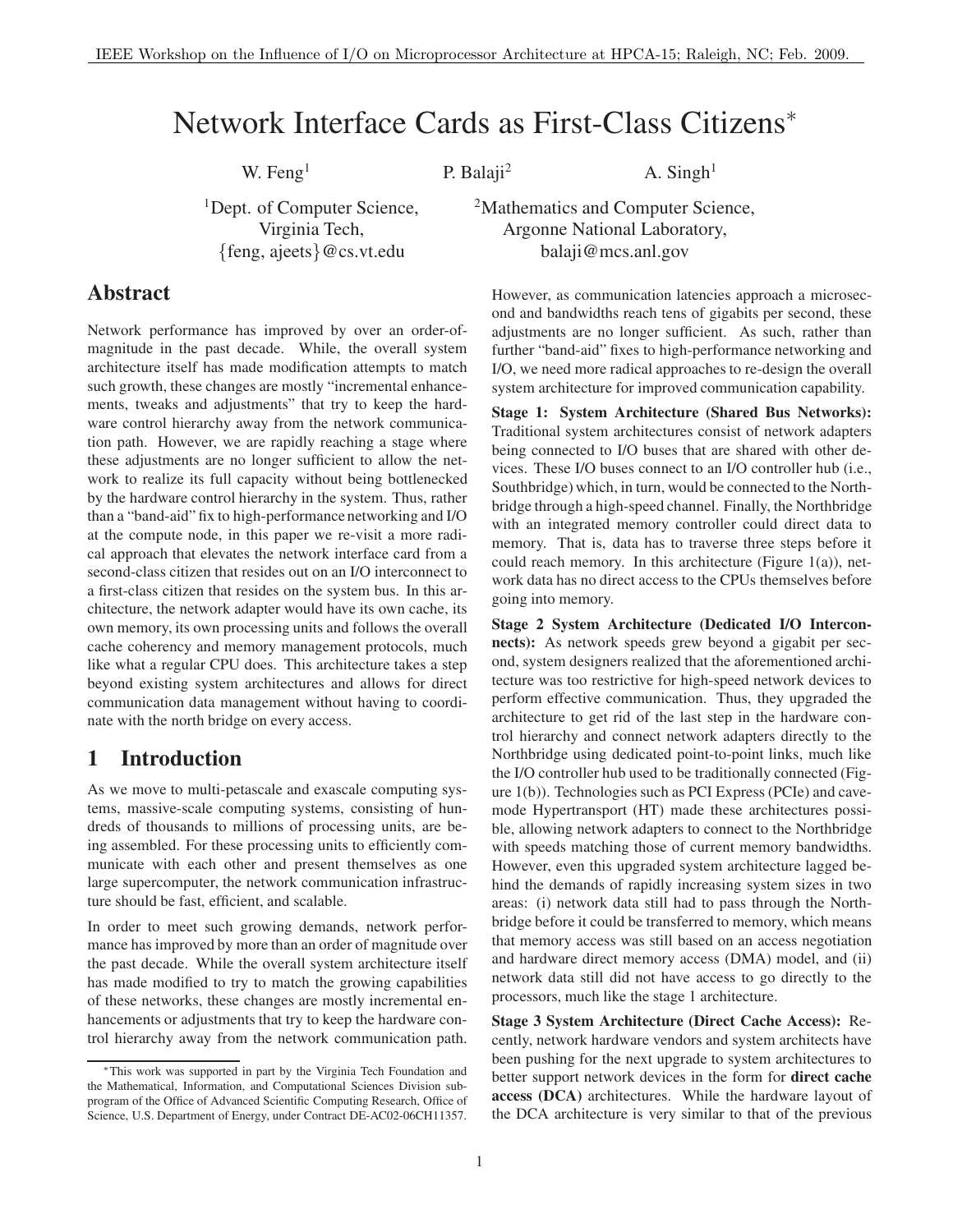# Network Interface Cards as First-Class Citizens<sup>∗</sup>

W. Feng<sup>1</sup> P. Balaji<sup>2</sup> A. Singh<sup>1</sup>

<sup>1</sup>Dept. of Computer Science, Virginia Tech, {feng, ajeets}@cs.vt.edu

<sup>2</sup>Mathematics and Computer Science, Argonne National Laboratory, balaji@mcs.anl.gov

#### **Abstract**

Network performance has improved by over an order-ofmagnitude in the past decade. While, the overall system architecture itself has made modification attempts to match such growth, these changes are mostly "incremental enhancements, tweaks and adjustments" that try to keep the hardware control hierarchy away from the network communication path. However, we are rapidly reaching a stage where these adjustments are no longer sufficient to allow the network to realize its full capacity without being bottlenecked by the hardware control hierarchy in the system. Thus, rather than a "band-aid" fix to high-performance networking and I/O at the compute node, in this paper we re-visit a more radical approach that elevates the network interface card from a second-class citizen that resides out on an I/O interconnect to a first-class citizen that resides on the system bus. In this architecture, the network adapter would have its own cache, its own memory, its own processing units and follows the overall cache coherency and memory management protocols, much like what a regular CPU does. This architecture takes a step beyond existing system architectures and allows for direct communication data management without having to coordinate with the north bridge on every access.

#### **1 Introduction**

As we move to multi-petascale and exascale computing systems, massive-scale computing systems, consisting of hundreds of thousands to millions of processing units, are being assembled. For these processing units to efficiently communicate with each other and present themselves as one large supercomputer, the network communication infrastructure should be fast, efficient, and scalable.

In order to meet such growing demands, network performance has improved by more than an order of magnitude over the past decade. While the overall system architecture itself has made modified to try to match the growing capabilities of these networks, these changes are mostly incremental enhancements or adjustments that try to keep the hardware control hierarchy away from the network communication path. However, as communication latencies approach a microsecond and bandwidths reach tens of gigabits per second, these adjustments are no longer sufficient. As such, rather than further "band-aid" fixes to high-performance networking and I/O, we need more radical approaches to re-design the overall system architecture for improved communication capability.

**Stage 1: System Architecture (Shared Bus Networks):** Traditional system architectures consist of network adapters being connected to I/O buses that are shared with other devices. These I/O buses connect to an I/O controller hub (i.e., Southbridge) which, in turn, would be connected to the Northbridge through a high-speed channel. Finally, the Northbridge with an integrated memory controller could direct data to memory. That is, data has to traverse three steps before it could reach memory. In this architecture (Figure  $1(a)$ ), network data has no direct access to the CPUs themselves before going into memory.

**Stage 2 System Architecture (Dedicated I/O Interconnects):** As network speeds grew beyond a gigabit per second, system designers realized that the aforementioned architecture was too restrictive for high-speed network devices to perform effective communication. Thus, they upgraded the architecture to get rid of the last step in the hardware control hierarchy and connect network adapters directly to the Northbridge using dedicated point-to-point links, much like the I/O controller hub used to be traditionally connected (Figure 1(b)). Technologies such as PCI Express (PCIe) and cavemode Hypertransport (HT) made these architectures possible, allowing network adapters to connect to the Northbridge with speeds matching those of current memory bandwidths. However, even this upgraded system architecture lagged behind the demands of rapidly increasing system sizes in two areas: (i) network data still had to pass through the Northbridge before it could be transferred to memory, which means that memory access was still based on an access negotiation and hardware direct memory access (DMA) model, and (ii) network data still did not have access to go directly to the processors, much like the stage 1 architecture.

**Stage 3 System Architecture (Direct Cache Access):** Recently, network hardware vendors and system architects have been pushing for the next upgrade to system architectures to better support network devices in the form for **direct cache access (DCA)** architectures. While the hardware layout of the DCA architecture is very similar to that of the previous

<sup>∗</sup>This work was supported in part by the Virginia Tech Foundation and the Mathematical, Information, and Computational Sciences Division subprogram of the Office of Advanced Scientific Computing Research, Office of Science, U.S. Department of Energy, under Contract DE-AC02-06CH11357.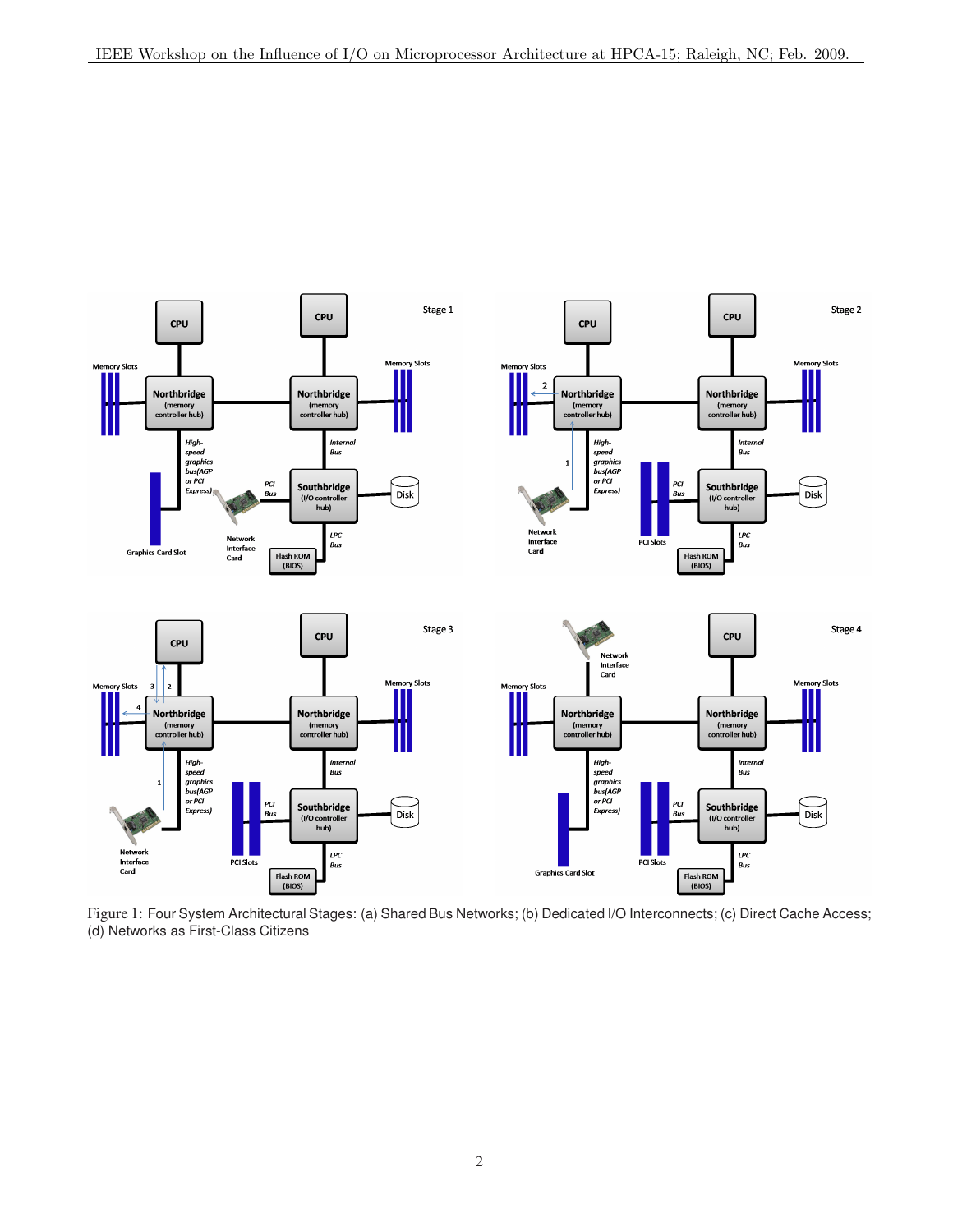

Figure 1: Four System Architectural Stages: (a) Shared Bus Networks; (b) Dedicated I/O Interconnects; (c) Direct Cache Access; (d) Networks as First-Class Citizens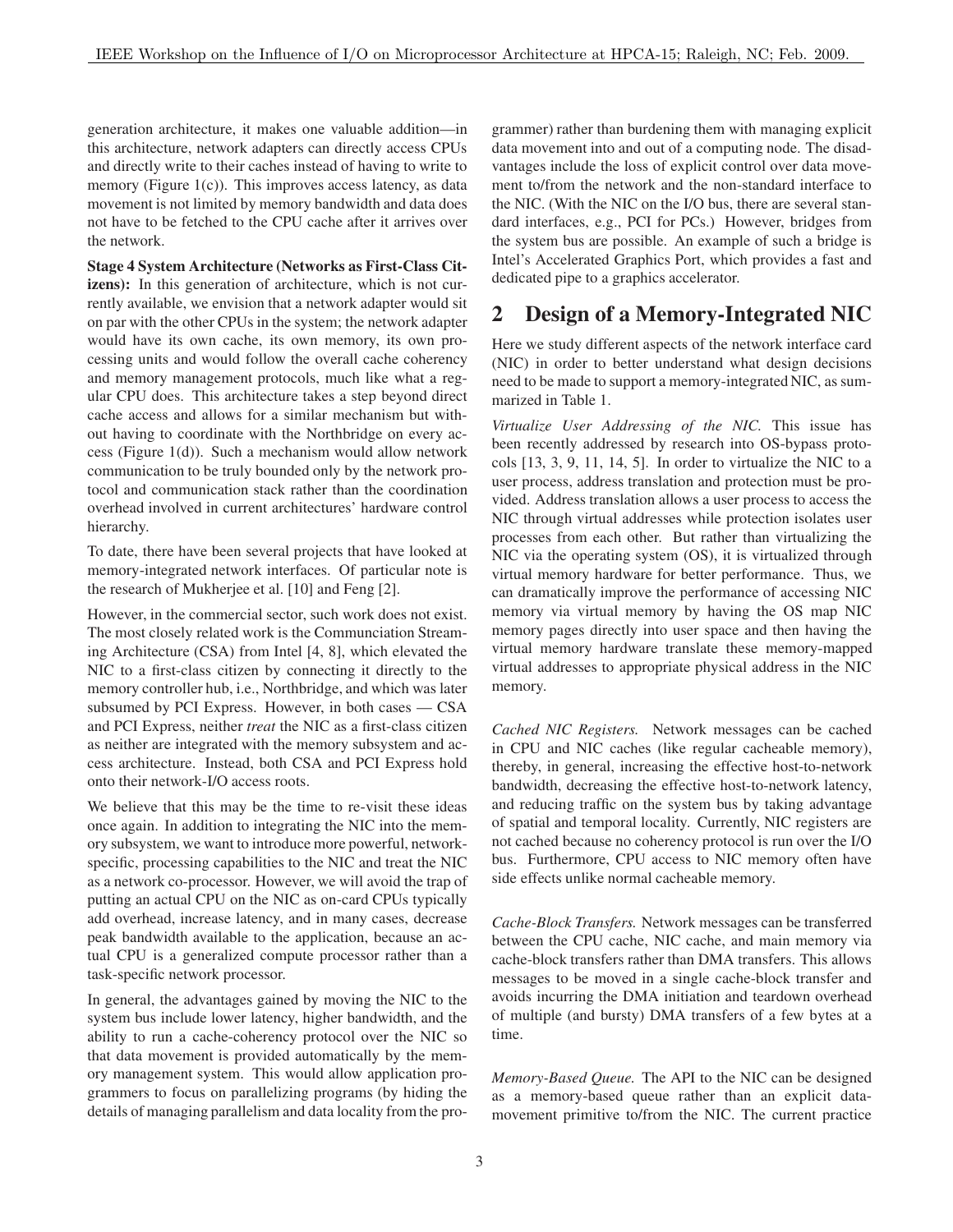generation architecture, it makes one valuable addition—in this architecture, network adapters can directly access CPUs and directly write to their caches instead of having to write to memory (Figure  $1(c)$ ). This improves access latency, as data movement is not limited by memory bandwidth and data does not have to be fetched to the CPU cache after it arrives over the network.

**Stage 4 System Architecture (Networks as First-Class Citizens):** In this generation of architecture, which is not currently available, we envision that a network adapter would sit on par with the other CPUs in the system; the network adapter would have its own cache, its own memory, its own processing units and would follow the overall cache coherency and memory management protocols, much like what a regular CPU does. This architecture takes a step beyond direct cache access and allows for a similar mechanism but without having to coordinate with the Northbridge on every access (Figure 1(d)). Such a mechanism would allow network communication to be truly bounded only by the network protocol and communication stack rather than the coordination overhead involved in current architectures' hardware control hierarchy.

To date, there have been several projects that have looked at memory-integrated network interfaces. Of particular note is the research of Mukherjee et al. [10] and Feng [2].

However, in the commercial sector, such work does not exist. The most closely related work is the Communciation Streaming Architecture (CSA) from Intel [4, 8], which elevated the NIC to a first-class citizen by connecting it directly to the memory controller hub, i.e., Northbridge, and which was later subsumed by PCI Express. However, in both cases — CSA and PCI Express, neither *treat* the NIC as a first-class citizen as neither are integrated with the memory subsystem and access architecture. Instead, both CSA and PCI Express hold onto their network-I/O access roots.

We believe that this may be the time to re-visit these ideas once again. In addition to integrating the NIC into the memory subsystem, we want to introduce more powerful, networkspecific, processing capabilities to the NIC and treat the NIC as a network co-processor. However, we will avoid the trap of putting an actual CPU on the NIC as on-card CPUs typically add overhead, increase latency, and in many cases, decrease peak bandwidth available to the application, because an actual CPU is a generalized compute processor rather than a task-specific network processor.

In general, the advantages gained by moving the NIC to the system bus include lower latency, higher bandwidth, and the ability to run a cache-coherency protocol over the NIC so that data movement is provided automatically by the memory management system. This would allow application programmers to focus on parallelizing programs (by hiding the details of managing parallelism and data locality from the programmer) rather than burdening them with managing explicit data movement into and out of a computing node. The disadvantages include the loss of explicit control over data movement to/from the network and the non-standard interface to the NIC. (With the NIC on the I/O bus, there are several standard interfaces, e.g., PCI for PCs.) However, bridges from the system bus are possible. An example of such a bridge is Intel's Accelerated Graphics Port, which provides a fast and dedicated pipe to a graphics accelerator.

# **2 Design of a Memory-Integrated NIC**

Here we study different aspects of the network interface card (NIC) in order to better understand what design decisions need to be made to support a memory-integrated NIC, as summarized in Table 1.

*Virtualize User Addressing of the NIC.* This issue has been recently addressed by research into OS-bypass protocols [13, 3, 9, 11, 14, 5]. In order to virtualize the NIC to a user process, address translation and protection must be provided. Address translation allows a user process to access the NIC through virtual addresses while protection isolates user processes from each other. But rather than virtualizing the NIC via the operating system (OS), it is virtualized through virtual memory hardware for better performance. Thus, we can dramatically improve the performance of accessing NIC memory via virtual memory by having the OS map NIC memory pages directly into user space and then having the virtual memory hardware translate these memory-mapped virtual addresses to appropriate physical address in the NIC memory.

*Cached NIC Registers.* Network messages can be cached in CPU and NIC caches (like regular cacheable memory), thereby, in general, increasing the effective host-to-network bandwidth, decreasing the effective host-to-network latency, and reducing traffic on the system bus by taking advantage of spatial and temporal locality. Currently, NIC registers are not cached because no coherency protocol is run over the I/O bus. Furthermore, CPU access to NIC memory often have side effects unlike normal cacheable memory.

*Cache-Block Transfers.* Network messages can be transferred between the CPU cache, NIC cache, and main memory via cache-block transfers rather than DMA transfers. This allows messages to be moved in a single cache-block transfer and avoids incurring the DMA initiation and teardown overhead of multiple (and bursty) DMA transfers of a few bytes at a time.

*Memory-Based Queue.* The API to the NIC can be designed as a memory-based queue rather than an explicit datamovement primitive to/from the NIC. The current practice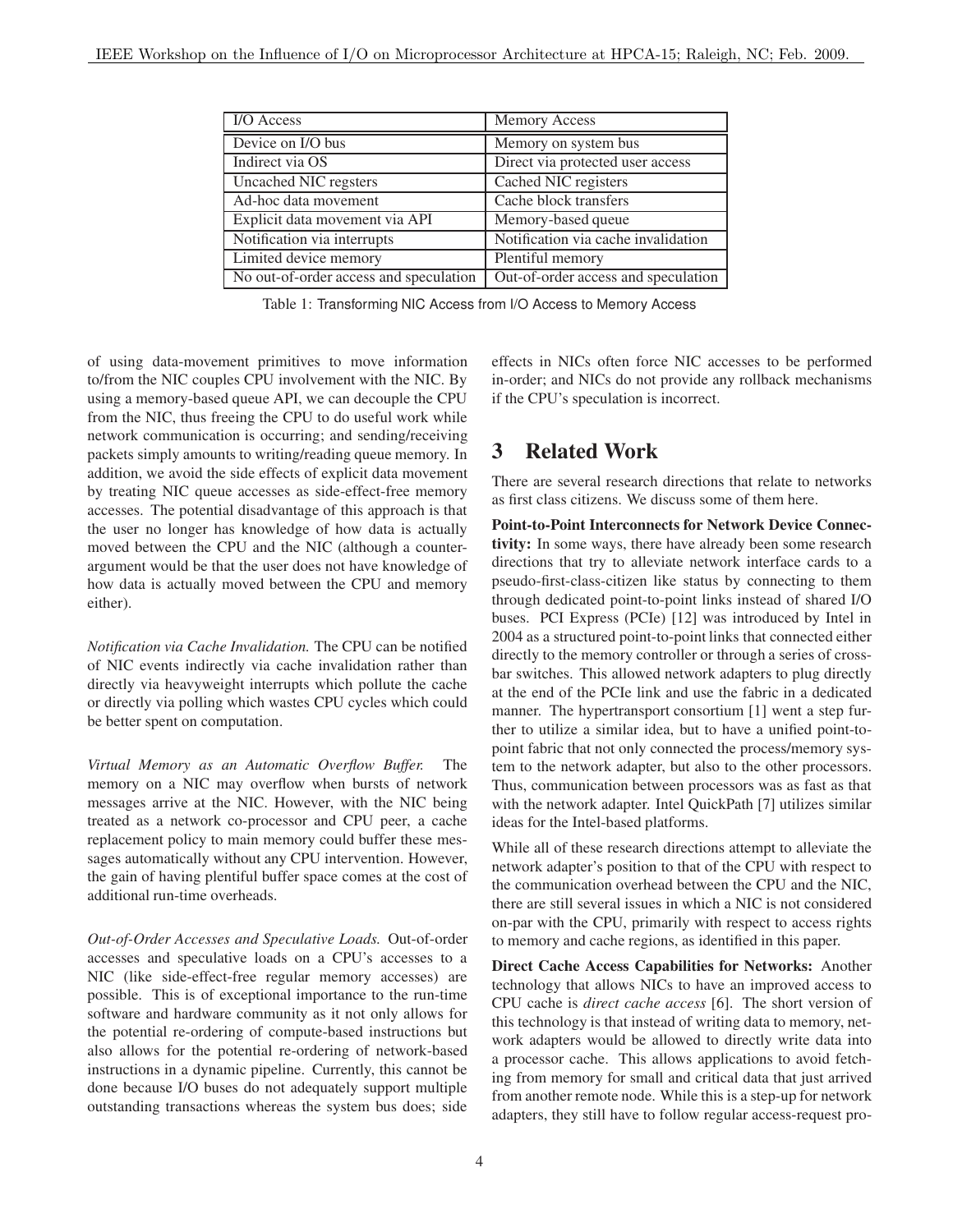| I/O Access                             | <b>Memory Access</b>                |
|----------------------------------------|-------------------------------------|
| Device on I/O bus                      | Memory on system bus                |
| Indirect via OS                        | Direct via protected user access    |
| Uncached NIC regsters                  | Cached NIC registers                |
| Ad-hoc data movement                   | Cache block transfers               |
| Explicit data movement via API         | Memory-based queue                  |
| Notification via interrupts            | Notification via cache invalidation |
| Limited device memory                  | Plentiful memory                    |
| No out-of-order access and speculation | Out-of-order access and speculation |

Table 1: Transforming NIC Access from I/O Access to Memory Access

of using data-movement primitives to move information to/from the NIC couples CPU involvement with the NIC. By using a memory-based queue API, we can decouple the CPU from the NIC, thus freeing the CPU to do useful work while network communication is occurring; and sending/receiving packets simply amounts to writing/reading queue memory. In addition, we avoid the side effects of explicit data movement by treating NIC queue accesses as side-effect-free memory accesses. The potential disadvantage of this approach is that the user no longer has knowledge of how data is actually moved between the CPU and the NIC (although a counterargument would be that the user does not have knowledge of how data is actually moved between the CPU and memory either).

*Notification via Cache Invalidation.* The CPU can be notified of NIC events indirectly via cache invalidation rather than directly via heavyweight interrupts which pollute the cache or directly via polling which wastes CPU cycles which could be better spent on computation.

*Virtual Memory as an Automatic Overflow Buffer.* The memory on a NIC may overflow when bursts of network messages arrive at the NIC. However, with the NIC being treated as a network co-processor and CPU peer, a cache replacement policy to main memory could buffer these messages automatically without any CPU intervention. However, the gain of having plentiful buffer space comes at the cost of additional run-time overheads.

*Out-of-Order Accesses and Speculative Loads.* Out-of-order accesses and speculative loads on a CPU's accesses to a NIC (like side-effect-free regular memory accesses) are possible. This is of exceptional importance to the run-time software and hardware community as it not only allows for the potential re-ordering of compute-based instructions but also allows for the potential re-ordering of network-based instructions in a dynamic pipeline. Currently, this cannot be done because I/O buses do not adequately support multiple outstanding transactions whereas the system bus does; side effects in NICs often force NIC accesses to be performed in-order; and NICs do not provide any rollback mechanisms if the CPU's speculation is incorrect.

# **3 Related Work**

There are several research directions that relate to networks as first class citizens. We discuss some of them here.

**Point-to-Point Interconnects for Network Device Connectivity:** In some ways, there have already been some research directions that try to alleviate network interface cards to a pseudo-first-class-citizen like status by connecting to them through dedicated point-to-point links instead of shared I/O buses. PCI Express (PCIe) [12] was introduced by Intel in 2004 as a structured point-to-point links that connected either directly to the memory controller or through a series of crossbar switches. This allowed network adapters to plug directly at the end of the PCIe link and use the fabric in a dedicated manner. The hypertransport consortium [1] went a step further to utilize a similar idea, but to have a unified point-topoint fabric that not only connected the process/memory system to the network adapter, but also to the other processors. Thus, communication between processors was as fast as that with the network adapter. Intel QuickPath [7] utilizes similar ideas for the Intel-based platforms.

While all of these research directions attempt to alleviate the network adapter's position to that of the CPU with respect to the communication overhead between the CPU and the NIC, there are still several issues in which a NIC is not considered on-par with the CPU, primarily with respect to access rights to memory and cache regions, as identified in this paper.

**Direct Cache Access Capabilities for Networks:** Another technology that allows NICs to have an improved access to CPU cache is *direct cache access* [6]. The short version of this technology is that instead of writing data to memory, network adapters would be allowed to directly write data into a processor cache. This allows applications to avoid fetching from memory for small and critical data that just arrived from another remote node. While this is a step-up for network adapters, they still have to follow regular access-request pro